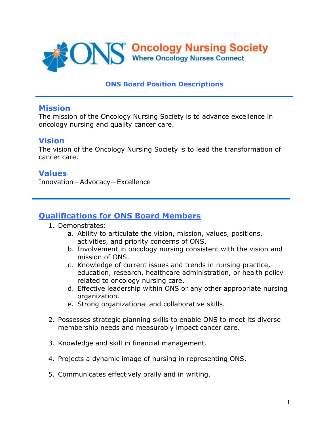

#### **ONS Board Position Descriptions**

#### **Mission**

The mission of the Oncology Nursing Society is to advance excellence in oncology nursing and quality cancer care.

### **Vision**

The vision of the Oncology Nursing Society is to lead the transformation of cancer care.

### **Values**

Innovation—Advocacy—Excellence

## **Qualifications for ONS Board Members**

- 1. Demonstrates:
	- a. Ability to articulate the vision, mission, values, positions, activities, and priority concerns of ONS.
	- b. Involvement in oncology nursing consistent with the vision and mission of ONS.
	- c. Knowledge of current issues and trends in nursing practice, education, research, healthcare administration, or health policy related to oncology nursing care.
	- d. Effective leadership within ONS or any other appropriate nursing organization.
	- e. Strong organizational and collaborative skills.
- 2. Possesses strategic planning skills to enable ONS to meet its diverse membership needs and measurably impact cancer care.
- 3. Knowledge and skill in financial management.
- 4. Projects a dynamic image of nursing in representing ONS.
- 5. Communicates effectively orally and in writing.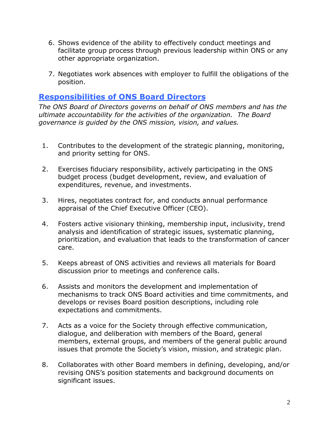- 6. Shows evidence of the ability to effectively conduct meetings and facilitate group process through previous leadership within ONS or any other appropriate organization.
- 7. Negotiates work absences with employer to fulfill the obligations of the position.

#### **Responsibilities of ONS Board Directors**

*The ONS Board of Directors governs on behalf of ONS members and has the ultimate accountability for the activities of the organization. The Board governance is guided by the ONS mission, vision, and values.*

- 1. Contributes to the development of the strategic planning, monitoring, and priority setting for ONS.
- 2. Exercises fiduciary responsibility, actively participating in the ONS budget process (budget development, review, and evaluation of expenditures, revenue, and investments.
- 3. Hires, negotiates contract for, and conducts annual performance appraisal of the Chief Executive Officer (CEO).
- 4. Fosters active visionary thinking, membership input, inclusivity, trend analysis and identification of strategic issues, systematic planning, prioritization, and evaluation that leads to the transformation of cancer care.
- 5. Keeps abreast of ONS activities and reviews all materials for Board discussion prior to meetings and conference calls.
- 6. Assists and monitors the development and implementation of mechanisms to track ONS Board activities and time commitments, and develops or revises Board position descriptions, including role expectations and commitments.
- 7. Acts as a voice for the Society through effective communication, dialogue, and deliberation with members of the Board, general members, external groups, and members of the general public around issues that promote the Society's vision, mission, and strategic plan.
- 8. Collaborates with other Board members in defining, developing, and/or revising ONS's position statements and background documents on significant issues.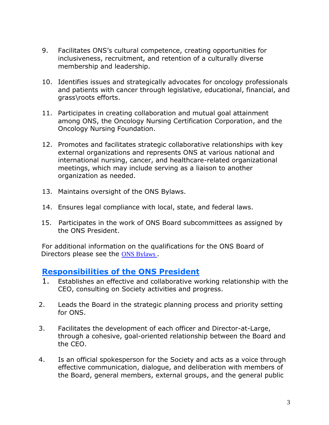- 9. Facilitates ONS's cultural competence, creating opportunities for inclusiveness, recruitment, and retention of a culturally diverse membership and leadership.
- 10. Identifies issues and strategically advocates for oncology professionals and patients with cancer through legislative, educational, financial, and grass\roots efforts.
- 11. Participates in creating collaboration and mutual goal attainment among ONS, the Oncology Nursing Certification Corporation, and the Oncology Nursing Foundation.
- 12. Promotes and facilitates strategic collaborative relationships with key external organizations and represents ONS at various national and international nursing, cancer, and healthcare-related organizational meetings, which may include serving as a liaison to another organization as needed.
- 13. Maintains oversight of the ONS Bylaws.
- 14. Ensures legal compliance with local, state, and federal laws.
- 15. Participates in the work of ONS Board subcommittees as assigned by the ONS President.

For additional information on the qualifications for the ONS Board of Directors please see the [ONS Bylaws](https://www.ons.org/about-ons/ons-leadership/bylaws) .

### **Responsibilities of the ONS President**

- 1. Establishes an effective and collaborative working relationship with the CEO, consulting on Society activities and progress.
- 2. Leads the Board in the strategic planning process and priority setting for ONS.
- 3. Facilitates the development of each officer and Director-at-Large, through a cohesive, goal-oriented relationship between the Board and the CEO.
- 4. Is an official spokesperson for the Society and acts as a voice through effective communication, dialogue, and deliberation with members of the Board, general members, external groups, and the general public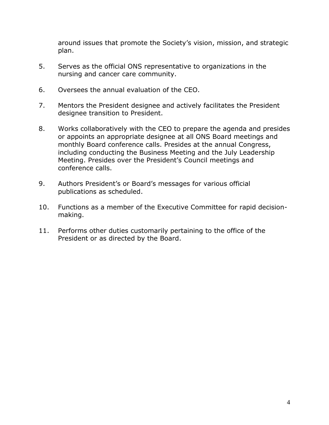around issues that promote the Society's vision, mission, and strategic plan.

- 5. Serves as the official ONS representative to organizations in the nursing and cancer care community.
- 6. Oversees the annual evaluation of the CEO.
- 7. Mentors the President designee and actively facilitates the President designee transition to President.
- 8. Works collaboratively with the CEO to prepare the agenda and presides or appoints an appropriate designee at all ONS Board meetings and monthly Board conference calls. Presides at the annual Congress, including conducting the Business Meeting and the July Leadership Meeting. Presides over the President's Council meetings and conference calls.
- 9. Authors President's or Board's messages for various official publications as scheduled.
- 10. Functions as a member of the Executive Committee for rapid decisionmaking.
- 11. Performs other duties customarily pertaining to the office of the President or as directed by the Board.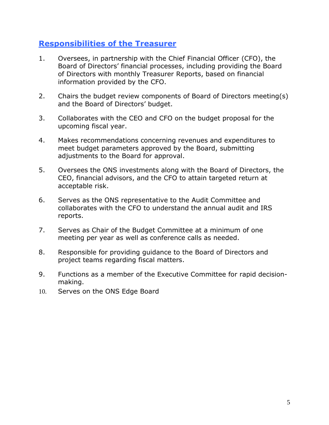### **Responsibilities of the Treasurer**

- 1. Oversees, in partnership with the Chief Financial Officer (CFO), the Board of Directors' financial processes, including providing the Board of Directors with monthly Treasurer Reports, based on financial information provided by the CFO.
- 2. Chairs the budget review components of Board of Directors meeting(s) and the Board of Directors' budget.
- 3. Collaborates with the CEO and CFO on the budget proposal for the upcoming fiscal year.
- 4. Makes recommendations concerning revenues and expenditures to meet budget parameters approved by the Board, submitting adjustments to the Board for approval.
- 5. Oversees the ONS investments along with the Board of Directors, the CEO, financial advisors, and the CFO to attain targeted return at acceptable risk.
- 6. Serves as the ONS representative to the Audit Committee and collaborates with the CFO to understand the annual audit and IRS reports.
- 7. Serves as Chair of the Budget Committee at a minimum of one meeting per year as well as conference calls as needed.
- 8. Responsible for providing guidance to the Board of Directors and project teams regarding fiscal matters.
- 9. Functions as a member of the Executive Committee for rapid decisionmaking.
- 10. Serves on the ONS Edge Board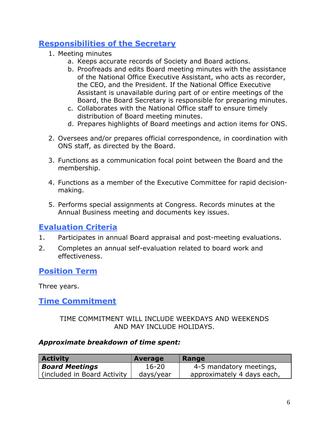# **Responsibilities of the Secretary**

- 1. Meeting minutes
	- a. Keeps accurate records of Society and Board actions.
	- b. Proofreads and edits Board meeting minutes with the assistance of the National Office Executive Assistant, who acts as recorder, the CEO, and the President. If the National Office Executive Assistant is unavailable during part of or entire meetings of the Board, the Board Secretary is responsible for preparing minutes.
	- c. Collaborates with the National Office staff to ensure timely distribution of Board meeting minutes.
	- d. Prepares highlights of Board meetings and action items for ONS.
- 2. Oversees and/or prepares official correspondence, in coordination with ONS staff, as directed by the Board.
- 3. Functions as a communication focal point between the Board and the membership.
- 4. Functions as a member of the Executive Committee for rapid decisionmaking.
- 5. Performs special assignments at Congress. Records minutes at the Annual Business meeting and documents key issues.

## **Evaluation Criteria**

- 1. Participates in annual Board appraisal and post-meeting evaluations.
- 2. Completes an annual self-evaluation related to board work and effectiveness.

## **Position Term**

Three years.

## **Time Commitment**

#### TIME COMMITMENT WILL INCLUDE WEEKDAYS AND WEEKENDS AND MAY INCLUDE HOLIDAYS.

#### *Approximate breakdown of time spent:*

| <b>Activity</b>              | Average   | Range                      |
|------------------------------|-----------|----------------------------|
| <b>Board Meetings</b>        | $16 - 20$ | 4-5 mandatory meetings,    |
| (included in Board Activity) | days/year | approximately 4 days each, |